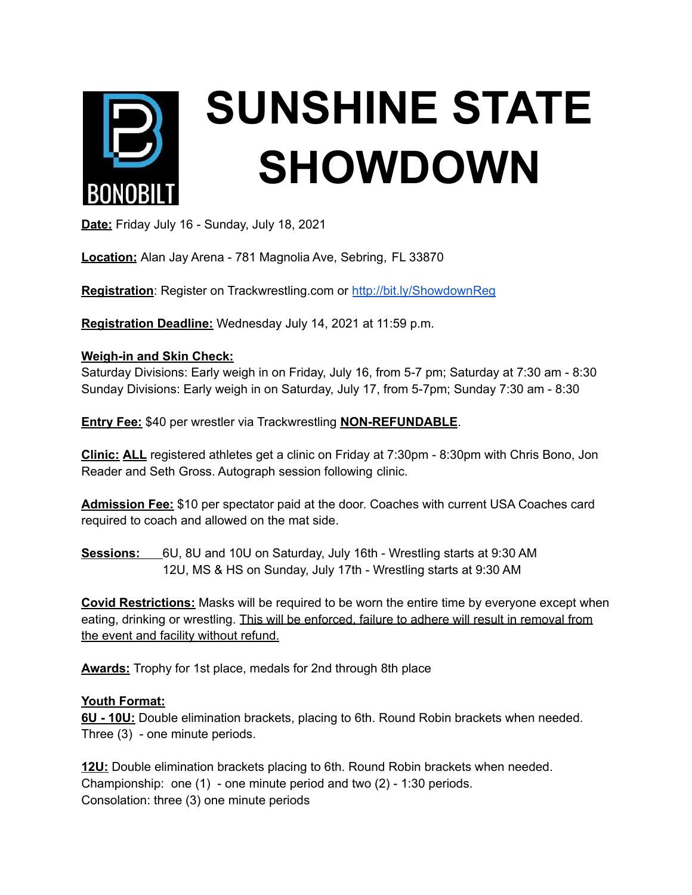

**Date:** Friday July 16 - Sunday, July 18, 2021

**Location:** Alan Jay Arena - 781 Magnolia Ave, Sebring, FL 33870

Registration: Register on Trackwrestling.com or <http://bit.ly/ShowdownReg>

**Registration Deadline:** Wednesday July 14, 2021 at 11:59 p.m.

## **Weigh-in and Skin Check:**

Saturday Divisions: Early weigh in on Friday, July 16, from 5-7 pm; Saturday at 7:30 am - 8:30 Sunday Divisions: Early weigh in on Saturday, July 17, from 5-7pm; Sunday 7:30 am - 8:30

**Entry Fee:** \$40 per wrestler via Trackwrestling **NON-REFUNDABLE**.

**Clinic: ALL** registered athletes get a clinic on Friday at 7:30pm - 8:30pm with Chris Bono, Jon Reader and Seth Gross. Autograph session following clinic.

**Admission Fee:** \$10 per spectator paid at the door. Coaches with current USA Coaches card required to coach and allowed on the mat side.

**Sessions:** 6U, 8U and 10U on Saturday, July 16th - Wrestling starts at 9:30 AM 12U, MS & HS on Sunday, July 17th - Wrestling starts at 9:30 AM

**Covid Restrictions:** Masks will be required to be worn the entire time by everyone except when eating, drinking or wrestling. This will be enforced, failure to adhere will result in removal from the event and facility without refund.

**Awards:** Trophy for 1st place, medals for 2nd through 8th place

## **Youth Format:**

**6U - 10U:** Double elimination brackets, placing to 6th. Round Robin brackets when needed. Three (3) - one minute periods.

**12U:** Double elimination brackets placing to 6th. Round Robin brackets when needed. Championship: one (1) - one minute period and two (2) - 1:30 periods. Consolation: three (3) one minute periods